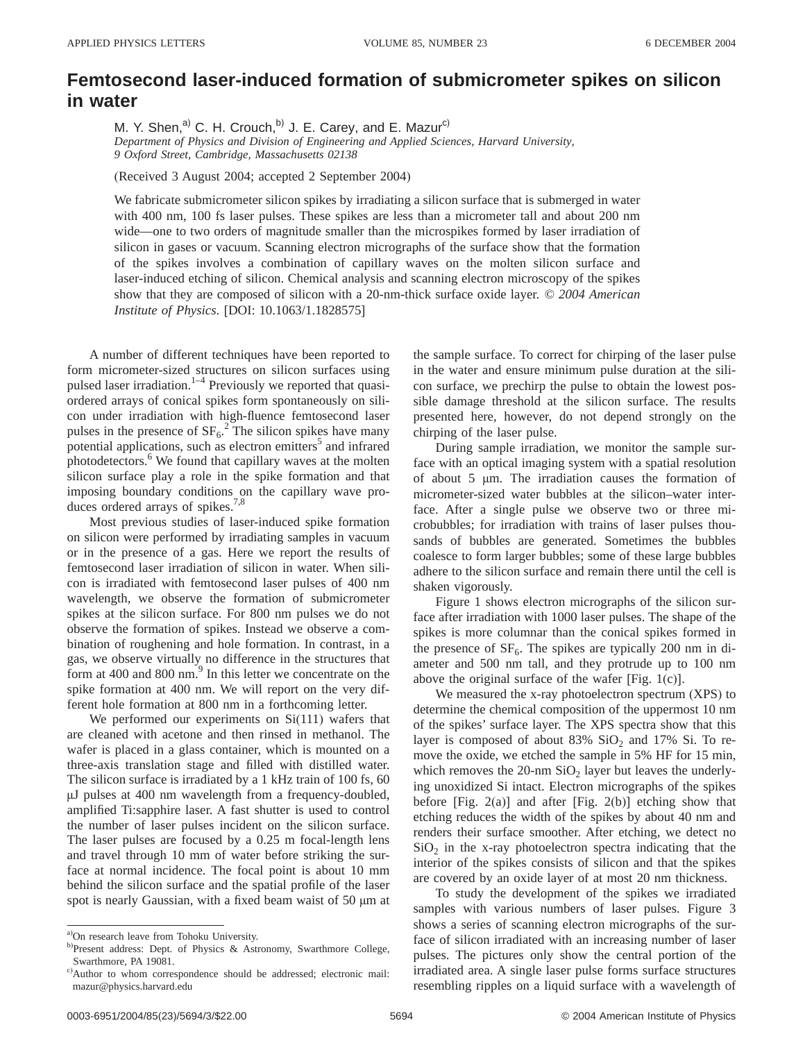## **Femtosecond laser-induced formation of submicrometer spikes on silicon in water**

M. Y. Shen, $^{a)}$  C. H. Crouch, $^{b)}$  J. E. Carey, and E. Mazur<sup>c)</sup>

*Department of Physics and Division of Engineering and Applied Sciences, Harvard University, 9 Oxford Street, Cambridge, Massachusetts 02138*

(Received 3 August 2004; accepted 2 September 2004)

We fabricate submicrometer silicon spikes by irradiating a silicon surface that is submerged in water with 400 nm, 100 fs laser pulses. These spikes are less than a micrometer tall and about 200 nm wide—one to two orders of magnitude smaller than the microspikes formed by laser irradiation of silicon in gases or vacuum. Scanning electron micrographs of the surface show that the formation of the spikes involves a combination of capillary waves on the molten silicon surface and laser-induced etching of silicon. Chemical analysis and scanning electron microscopy of the spikes show that they are composed of silicon with a 20-nm-thick surface oxide layer. © *2004 American Institute of Physics*. [DOI: 10.1063/1.1828575]

A number of different techniques have been reported to form micrometer-sized structures on silicon surfaces using pulsed laser irradiation.<sup>1–4</sup> Previously we reported that quasiordered arrays of conical spikes form spontaneously on silicon under irradiation with high-fluence femtosecond laser pulses in the presence of  $SF_6$ .<sup>2</sup> The silicon spikes have many potential applications, such as electron emitters<sup>3</sup> and infrared photodetectors.<sup>6</sup> We found that capillary waves at the molten silicon surface play a role in the spike formation and that imposing boundary conditions on the capillary wave produces ordered arrays of spikes. $7,8$ 

Most previous studies of laser-induced spike formation on silicon were performed by irradiating samples in vacuum or in the presence of a gas. Here we report the results of femtosecond laser irradiation of silicon in water. When silicon is irradiated with femtosecond laser pulses of 400 nm wavelength, we observe the formation of submicrometer spikes at the silicon surface. For 800 nm pulses we do not observe the formation of spikes. Instead we observe a combination of roughening and hole formation. In contrast, in a gas, we observe virtually no difference in the structures that form at 400 and 800 nm. $^{9}$  In this letter we concentrate on the spike formation at 400 nm. We will report on the very different hole formation at 800 nm in a forthcoming letter.

We performed our experiments on  $Si(111)$  wafers that are cleaned with acetone and then rinsed in methanol. The wafer is placed in a glass container, which is mounted on a three-axis translation stage and filled with distilled water. The silicon surface is irradiated by a 1 kHz train of 100 fs, 60 µJ pulses at 400 nm wavelength from a frequency-doubled, amplified Ti:sapphire laser. A fast shutter is used to control the number of laser pulses incident on the silicon surface. The laser pulses are focused by a 0.25 m focal-length lens and travel through 10 mm of water before striking the surface at normal incidence. The focal point is about 10 mm behind the silicon surface and the spatial profile of the laser spot is nearly Gaussian, with a fixed beam waist of 50  $\mu$ m at the sample surface. To correct for chirping of the laser pulse in the water and ensure minimum pulse duration at the silicon surface, we prechirp the pulse to obtain the lowest possible damage threshold at the silicon surface. The results presented here, however, do not depend strongly on the chirping of the laser pulse.

During sample irradiation, we monitor the sample surface with an optical imaging system with a spatial resolution of about 5 µm. The irradiation causes the formation of micrometer-sized water bubbles at the silicon–water interface. After a single pulse we observe two or three microbubbles; for irradiation with trains of laser pulses thousands of bubbles are generated. Sometimes the bubbles coalesce to form larger bubbles; some of these large bubbles adhere to the silicon surface and remain there until the cell is shaken vigorously.

Figure 1 shows electron micrographs of the silicon surface after irradiation with 1000 laser pulses. The shape of the spikes is more columnar than the conical spikes formed in the presence of  $SF_6$ . The spikes are typically 200 nm in diameter and 500 nm tall, and they protrude up to 100 nm above the original surface of the wafer [Fig. 1(c)].

We measured the x-ray photoelectron spectrum (XPS) to determine the chemical composition of the uppermost 10 nm of the spikes' surface layer. The XPS spectra show that this layer is composed of about 83%  $SiO<sub>2</sub>$  and 17% Si. To remove the oxide, we etched the sample in 5% HF for 15 min, which removes the  $20$ -nm  $SiO<sub>2</sub>$  layer but leaves the underlying unoxidized Si intact. Electron micrographs of the spikes before [Fig.  $2(a)$ ] and after [Fig.  $2(b)$ ] etching show that etching reduces the width of the spikes by about 40 nm and renders their surface smoother. After etching, we detect no  $SiO<sub>2</sub>$  in the x-ray photoelectron spectra indicating that the interior of the spikes consists of silicon and that the spikes are covered by an oxide layer of at most 20 nm thickness.

To study the development of the spikes we irradiated samples with various numbers of laser pulses. Figure 3 shows a series of scanning electron micrographs of the surface of silicon irradiated with an increasing number of laser pulses. The pictures only show the central portion of the irradiated area. A single laser pulse forms surface structures resembling ripples on a liquid surface with a wavelength of

a) On research leave from Tohoku University.

b)Present address: Dept. of Physics & Astronomy, Swarthmore College, Swarthmore, PA 19081.

c)Author to whom correspondence should be addressed; electronic mail: mazur@physics.harvard.edu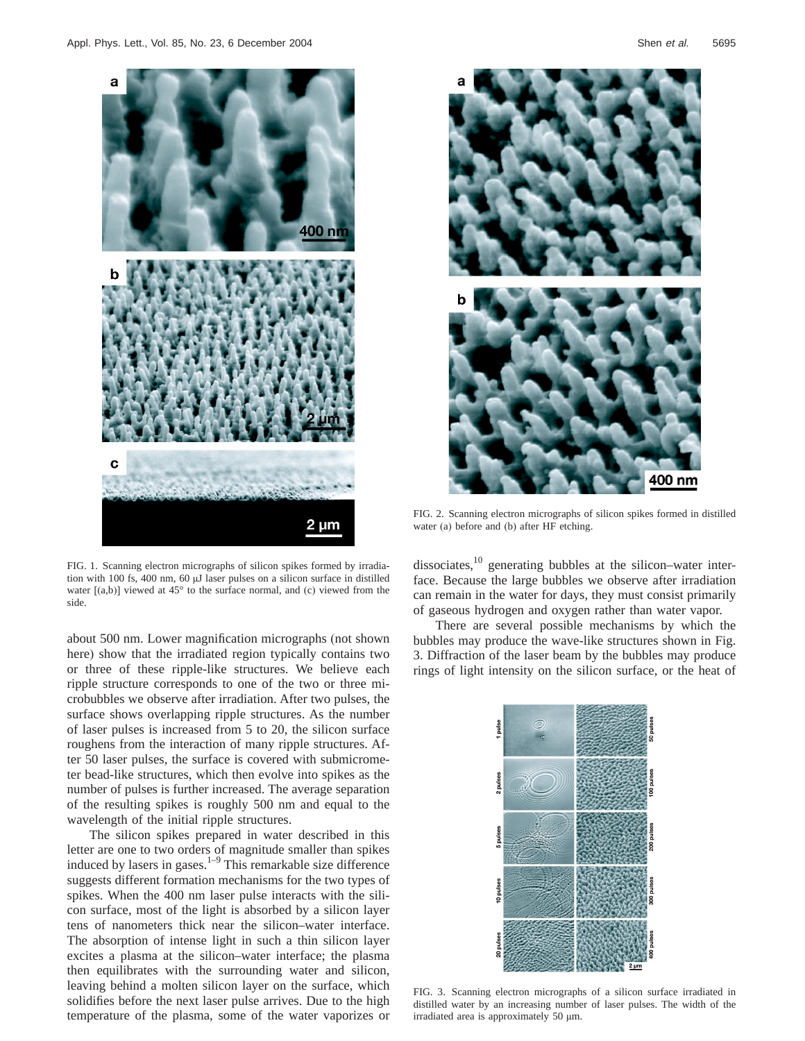

FIG. 1. Scanning electron micrographs of silicon spikes formed by irradiation with 100 fs, 400 nm, 60 µJ laser pulses on a silicon surface in distilled water  $[(a,b)]$  viewed at 45 $^{\circ}$  to the surface normal, and (c) viewed from the side.

about 500 nm. Lower magnification micrographs (not shown here) show that the irradiated region typically contains two or three of these ripple-like structures. We believe each ripple structure corresponds to one of the two or three microbubbles we observe after irradiation. After two pulses, the surface shows overlapping ripple structures. As the number of laser pulses is increased from 5 to 20, the silicon surface roughens from the interaction of many ripple structures. After 50 laser pulses, the surface is covered with submicrometer bead-like structures, which then evolve into spikes as the number of pulses is further increased. The average separation of the resulting spikes is roughly 500 nm and equal to the wavelength of the initial ripple structures.

The silicon spikes prepared in water described in this letter are one to two orders of magnitude smaller than spikes induced by lasers in gases. $1-9$  This remarkable size difference suggests different formation mechanisms for the two types of spikes. When the 400 nm laser pulse interacts with the silicon surface, most of the light is absorbed by a silicon layer tens of nanometers thick near the silicon–water interface. The absorption of intense light in such a thin silicon layer excites a plasma at the silicon–water interface; the plasma then equilibrates with the surrounding water and silicon, leaving behind a molten silicon layer on the surface, which solidifies before the next laser pulse arrives. Due to the high temperature of the plasma, some of the water vaporizes or



FIG. 2. Scanning electron micrographs of silicon spikes formed in distilled water (a) before and (b) after HF etching.

dissociates, $^{10}$  generating bubbles at the silicon–water interface. Because the large bubbles we observe after irradiation can remain in the water for days, they must consist primarily of gaseous hydrogen and oxygen rather than water vapor.

There are several possible mechanisms by which the bubbles may produce the wave-like structures shown in Fig. 3. Diffraction of the laser beam by the bubbles may produce rings of light intensity on the silicon surface, or the heat of



FIG. 3. Scanning electron micrographs of a silicon surface irradiated in distilled water by an increasing number of laser pulses. The width of the irradiated area is approximately 50 µm.